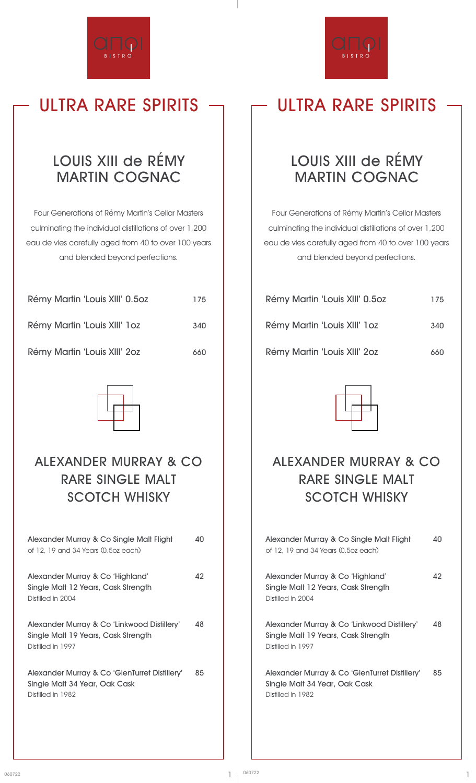

# **ULTRA RARE SPIRITS ULTRA RARE SPIRITS**

### **LOUIS XIII de RÉMY MARTIN COGNAC**

Four Generations of Rémy Martin's Cellar Masters culminating the individual distillations of over 1,200 eau de vies carefully aged from 40 to over 100 years and blended beyond perfections.

| .                              |     |
|--------------------------------|-----|
| Rémy Martin 'Louis XIII' 1 oz  | 340 |
| Rémy Martin 'Louis XIII' 0.502 | 175 |

**Rémy Martin 'Louis XIII' 2oz 660**



### **ALEXANDER MURRAY & CO RARE SINGLE MALT SCOTCH WHISKY**

| Alexander Murray & Co Single Malt Flight<br>of 12, 19 and 34 Years (0.5oz each)                         | 40 |
|---------------------------------------------------------------------------------------------------------|----|
| Alexander Murray & Co 'Highland'<br>Single Malt 12 Years, Cask Strength<br>Distilled in 2004            | 42 |
| Alexander Murray & Co 'Linkwood Distillery'<br>Single Malt 19 Years, Cask Strength<br>Distilled in 1997 | 48 |
| Alexander Murray & Co 'GlenTurret Distillery'<br>Single Malt 34 Year, Oak Cask<br>Distilled in 1982     | 85 |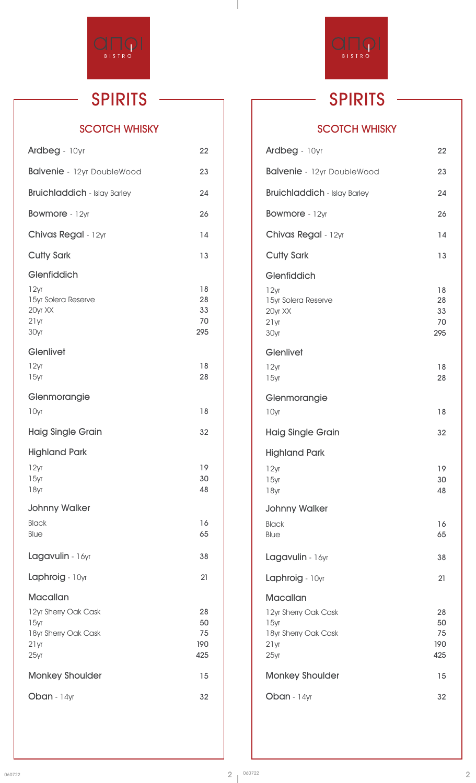

#### **SCOTCH WHISKY**

| Ardbeg - 10yr                                          | 22                          |  |
|--------------------------------------------------------|-----------------------------|--|
| <b>Balvenie</b> - 12yr DoubleWood                      | 23                          |  |
| <b>Bruichladdich</b> - Islay Barley                    | 24                          |  |
| Bowmore - 12yr                                         | 26                          |  |
| Chivas Regal - 12yr                                    | 14                          |  |
| <b>Cutty Sark</b>                                      | 13                          |  |
| Glenfiddich                                            |                             |  |
| 12yr<br>15yr Solera Reserve<br>20yr XX<br>21yr<br>30yr | 18<br>28<br>33<br>70<br>295 |  |
| Glenlivet                                              |                             |  |
| 12yr<br>15yr                                           | 18<br>28                    |  |
| Glenmorangie                                           |                             |  |
| 10yr                                                   | 18                          |  |
| <b>Haig Single Grain</b>                               | 32                          |  |
| <b>Highland Park</b>                                   |                             |  |
| 12yr                                                   | 19                          |  |
| 15yr<br>18yr                                           | 30<br>48                    |  |
| <b>Johnny Walker</b>                                   |                             |  |
| <b>Black</b><br>Blue                                   | 16<br>65                    |  |
|                                                        |                             |  |
| Lagavulin - 16yr                                       | 38                          |  |
| Laphroig - 10yr                                        | 21                          |  |
| Macallan                                               |                             |  |
| 12yr Sherry Oak Cask                                   | 28<br>50                    |  |
| 15yr<br>18yr Sherry Oak Cask                           | 75                          |  |
| 21yr<br>25yr                                           | 190<br>425                  |  |
| <b>Monkey Shoulder</b>                                 | 15                          |  |
| Oban - 14yr                                            | 32                          |  |
|                                                        |                             |  |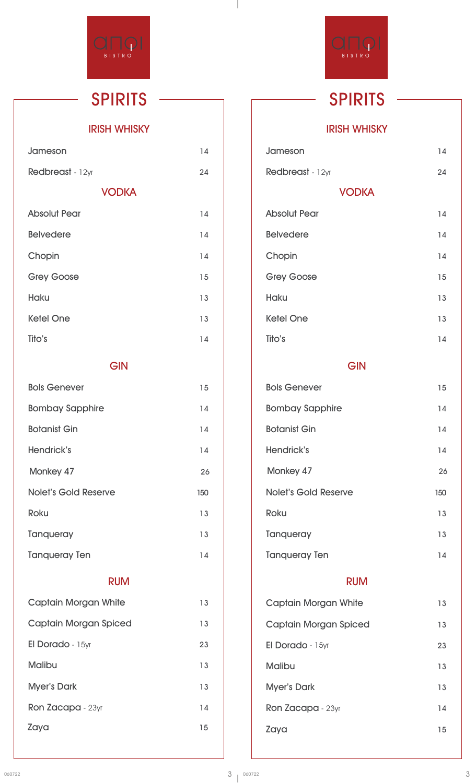

#### **IRISH WHISKY**

| Jameson             | 14 |
|---------------------|----|
| Redbreast - 12yr    | 24 |
| <b>VODKA</b>        |    |
| <b>Absolut Pear</b> | 14 |
| <b>Belvedere</b>    | 14 |
| Chopin              | 14 |
| <b>Grey Goose</b>   | 15 |
| <b>Haku</b>         | 13 |
| <b>Ketel One</b>    | 13 |
| Tito's              | 14 |
|                     |    |

#### **GIN**

| <b>Bols Genever</b>         | 15  |
|-----------------------------|-----|
| <b>Bombay Sapphire</b>      | 14  |
| <b>Botanist Gin</b>         | 14  |
| Hendrick's                  | 14  |
| Monkey 47                   | 26  |
| <b>Nolet's Gold Reserve</b> | 150 |
| <b>Roku</b>                 | 13  |
| Tanqueray                   | 13  |
| <b>Tanqueray Ten</b>        | 14  |

#### **RUM**

| <b>Captain Morgan White</b> | 13 |
|-----------------------------|----|
| Captain Morgan Spiced       | 13 |
| El Dorado - 15yr            | 23 |
| <b>Malibu</b>               | 13 |
| <b>Myer's Dark</b>          | 13 |
| Ron Zacapa - 23yr           | 14 |
| Zaya                        | 15 |
|                             |    |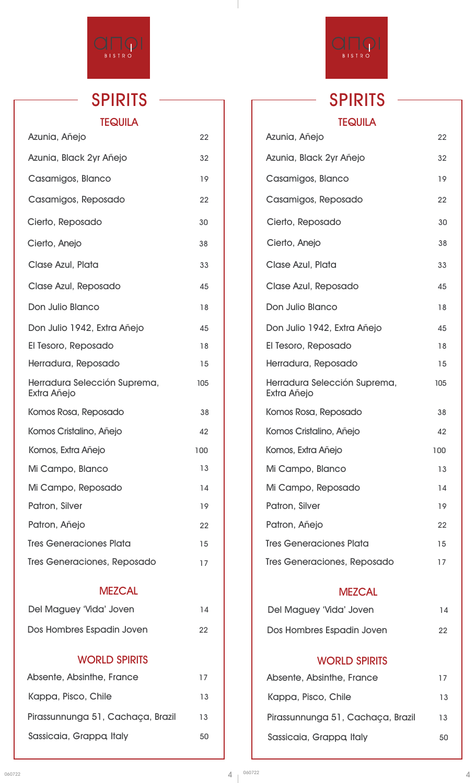

## **SPIRITS SPIRITS TEQUILA**

| Azunia, Añejo                               | 22  |  |
|---------------------------------------------|-----|--|
| Azunia, Black 2yr Añejo                     | 32  |  |
| Casamigos, Blanco                           | 19  |  |
| Casamigos, Reposado                         | 22  |  |
| Cierto, Reposado                            | 30  |  |
| Cierto, Anejo                               | 38  |  |
| Clase Azul, Plata                           | 33  |  |
| Clase Azul, Reposado                        | 45  |  |
| Don Julio Blanco                            | 18  |  |
| Don Julio 1942, Extra Añejo                 | 45  |  |
| El Tesoro, Reposado                         | 18  |  |
| Herradura, Reposado                         | 15  |  |
| Herradura Selección Suprema,<br>Extra Añejo | 105 |  |
| Komos Rosa, Reposado                        | 38  |  |
| Komos Cristalino, Añejo                     | 42  |  |
| Komos, Extra Añejo                          | 100 |  |
| Mi Campo, Blanco                            | 13  |  |
| Mi Campo, Reposado                          | 14  |  |
| Patron, Silver                              | 19  |  |
| Patron, Añejo                               | 22  |  |
| <b>Tres Generaciones Plata</b>              | 15  |  |
| Tres Generaciones, Reposado                 | 17  |  |
| <b>MEZCAL</b>                               |     |  |
| Del Maguey 'Vida' Joven                     | 14  |  |
| Dos Hombres Espadin Joven                   | 22  |  |
| <b>WORLD SPIRITS</b>                        |     |  |
| Absente, Absinthe, France                   | 17  |  |
|                                             |     |  |

| Kappa, Pisco, Chile               | 13 |
|-----------------------------------|----|
| Pirassunnunga 51, Cachaça, Brazil | 13 |
| Sassicaia, Grappa Italy           | 50 |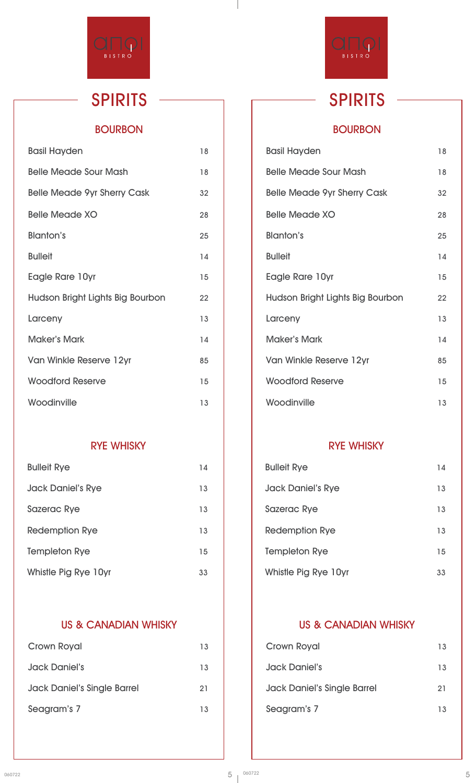

L

#### **BOURBON**

| <b>Basil Hayden</b>                | 18 |
|------------------------------------|----|
| <b>Belle Meade Sour Mash</b>       | 18 |
| <b>Belle Meade 9yr Sherry Cask</b> | 32 |
| <b>Belle Meade XO</b>              | 28 |
| <b>Blanton's</b>                   | 25 |
| <b>Bulleit</b>                     | 14 |
| Eagle Rare 10yr                    | 15 |
| Hudson Bright Lights Big Bourbon   | 22 |
| Larceny                            | 13 |
| <b>Maker's Mark</b>                | 14 |
| Van Winkle Reserve 12yr            | 85 |
| <b>Woodford Reserve</b>            | 15 |
| Woodinville                        | 13 |

#### **RYE WHISKY**

| <b>Bulleit Rye</b>       | 14 |
|--------------------------|----|
| <b>Jack Daniel's Rye</b> | 13 |
| <b>Sazerac Rye</b>       | 13 |
| <b>Redemption Rye</b>    | 13 |
| <b>Templeton Rye</b>     | 15 |
| Whistle Pig Rye 10yr     | 33 |

#### **US & CANADIAN WHISKY**

| Crown Royal                        | 13 |
|------------------------------------|----|
| <b>Jack Daniel's</b>               | 13 |
| <b>Jack Daniel's Single Barrel</b> | 21 |
| Seagram's 7                        | 13 |